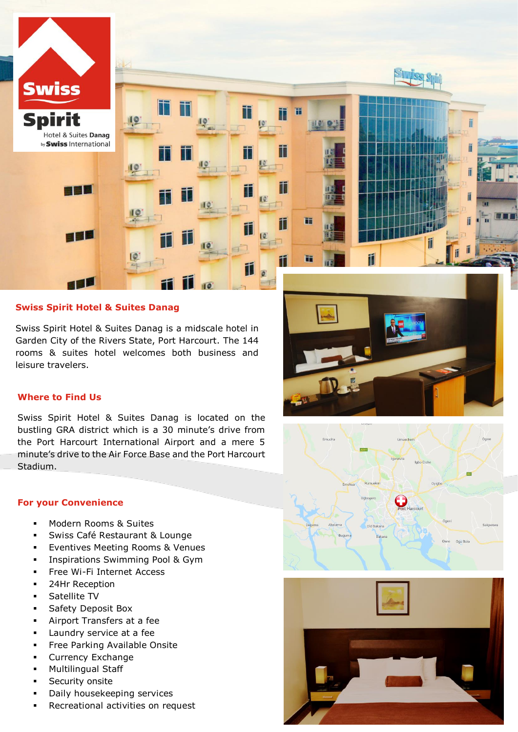

# **Swiss Spirit Hotel & Suites Danag**

Swiss Spirit Hotel & Suites Danag is a midscale hotel in Garden City of the Rivers State, Port Harcourt. The 144 rooms & suites hotel welcomes both business and leisure travelers.

# **Where to Find Us**

Swiss Spirit Hotel & Suites Danag is located on the bustling GRA district which is a 30 minute's drive from the Port Harcourt International Airport and a mere 5 minute's drive to the Air Force Base and the Port Harcourt Stadium.

### **For your Convenience**

- Modern Rooms & Suites
- Swiss Café Restaurant & Lounge
- Eventives Meeting Rooms & Venues
- **Inspirations Swimming Pool & Gym**
- **Free Wi-Fi Internet Access**
- 24Hr Reception
- **Satellite TV**
- **Safety Deposit Box**
- Airport Transfers at a fee
- **Laundry service at a fee**
- Free Parking Available Onsite
- **Currency Exchange**
- **•** Multilingual Staff
- Security onsite
- Daily housekeeping services
- Recreational activities on request